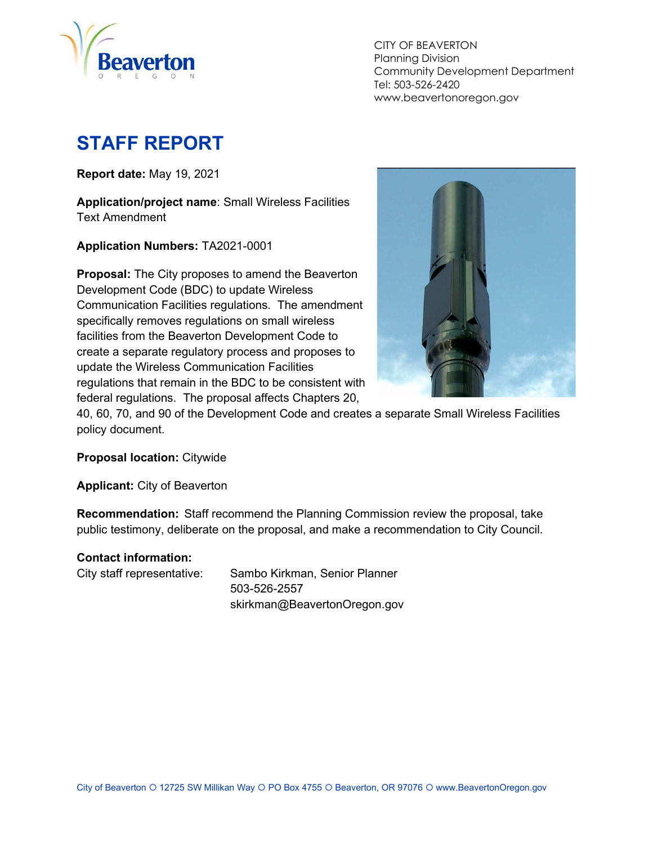

 CITY OF BEAVERTON Planning Division Community Development Department Tel: 503-526-2420 www.beavertonoregon.gov

# STAFF REPORT

Report date: May 19, 2021

Application/project name: Small Wireless Facilities Text Amendment

Application Numbers: TA2021-0001

Proposal: The City proposes to amend the Beaverton Development Code (BDC) to update Wireless Communication Facilities regulations. The amendment specifically removes regulations on small wireless facilities from the Beaverton Development Code to create a separate regulatory process and proposes to update the Wireless Communication Facilities regulations that remain in the BDC to be consistent with federal regulations. The proposal affects Chapters 20,



40, 60, 70, and 90 of the Development Code and creates a separate Small Wireless Facilities policy document.

Proposal location: Citywide

Applicant: City of Beaverton

Recommendation: Staff recommend the Planning Commission review the proposal, take public testimony, deliberate on the proposal, and make a recommendation to City Council.

#### Contact information:

City staff representative: Sambo Kirkman, Senior Planner 503-526-2557 skirkman@BeavertonOregon.gov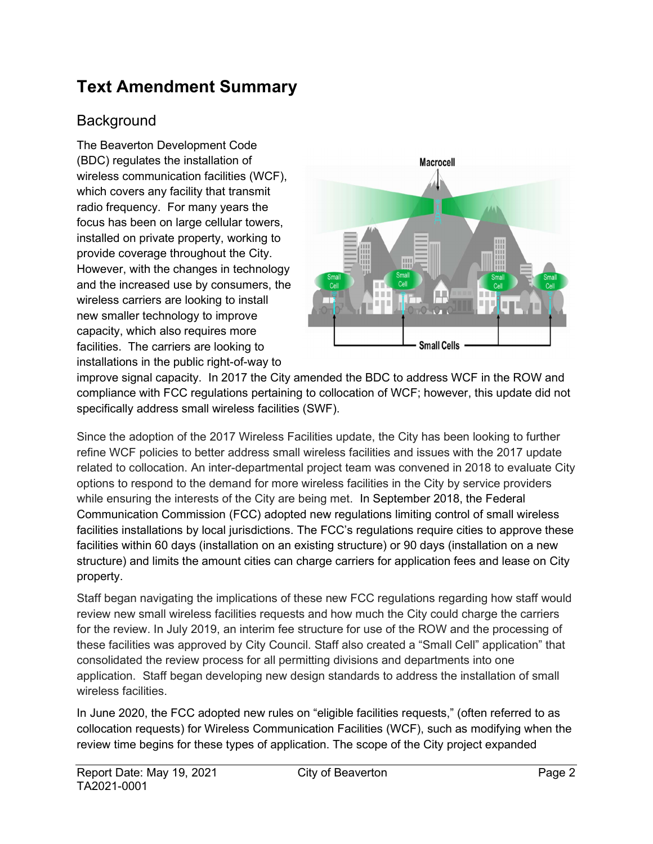## Text Amendment Summary

### Background

The Beaverton Development Code (BDC) regulates the installation of wireless communication facilities (WCF), which covers any facility that transmit radio frequency. For many years the focus has been on large cellular towers, installed on private property, working to provide coverage throughout the City. However, with the changes in technology and the increased use by consumers, the wireless carriers are looking to install new smaller technology to improve capacity, which also requires more facilities. The carriers are looking to installations in the public right-of-way to



improve signal capacity. In 2017 the City amended the BDC to address WCF in the ROW and compliance with FCC regulations pertaining to collocation of WCF; however, this update did not specifically address small wireless facilities (SWF).

Since the adoption of the 2017 Wireless Facilities update, the City has been looking to further refine WCF policies to better address small wireless facilities and issues with the 2017 update related to collocation. An inter-departmental project team was convened in 2018 to evaluate City options to respond to the demand for more wireless facilities in the City by service providers while ensuring the interests of the City are being met. In September 2018, the Federal Communication Commission (FCC) adopted new regulations limiting control of small wireless facilities installations by local jurisdictions. The FCC's regulations require cities to approve these facilities within 60 days (installation on an existing structure) or 90 days (installation on a new structure) and limits the amount cities can charge carriers for application fees and lease on City property.

Staff began navigating the implications of these new FCC regulations regarding how staff would review new small wireless facilities requests and how much the City could charge the carriers for the review. In July 2019, an interim fee structure for use of the ROW and the processing of these facilities was approved by City Council. Staff also created a "Small Cell" application" that consolidated the review process for all permitting divisions and departments into one application. Staff began developing new design standards to address the installation of small wireless facilities.

In June 2020, the FCC adopted new rules on "eligible facilities requests," (often referred to as collocation requests) for Wireless Communication Facilities (WCF), such as modifying when the review time begins for these types of application. The scope of the City project expanded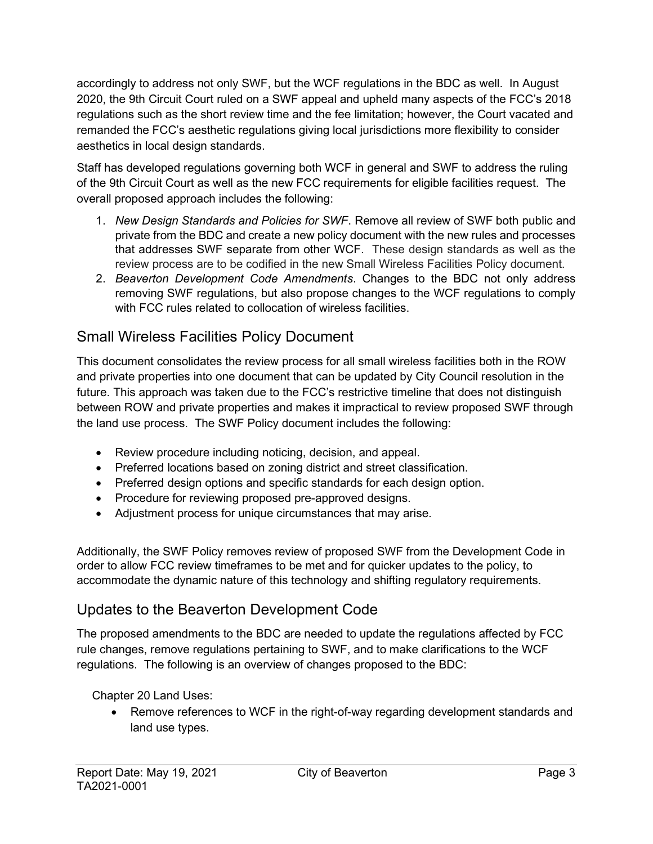accordingly to address not only SWF, but the WCF regulations in the BDC as well. In August 2020, the 9th Circuit Court ruled on a SWF appeal and upheld many aspects of the FCC's 2018 regulations such as the short review time and the fee limitation; however, the Court vacated and remanded the FCC's aesthetic regulations giving local jurisdictions more flexibility to consider aesthetics in local design standards.

Staff has developed regulations governing both WCF in general and SWF to address the ruling of the 9th Circuit Court as well as the new FCC requirements for eligible facilities request. The overall proposed approach includes the following:

- 1. New Design Standards and Policies for SWF. Remove all review of SWF both public and private from the BDC and create a new policy document with the new rules and processes that addresses SWF separate from other WCF. These design standards as well as the review process are to be codified in the new Small Wireless Facilities Policy document.
- 2. Beaverton Development Code Amendments. Changes to the BDC not only address removing SWF regulations, but also propose changes to the WCF regulations to comply with FCC rules related to collocation of wireless facilities.

### Small Wireless Facilities Policy Document

This document consolidates the review process for all small wireless facilities both in the ROW and private properties into one document that can be updated by City Council resolution in the future. This approach was taken due to the FCC's restrictive timeline that does not distinguish between ROW and private properties and makes it impractical to review proposed SWF through the land use process. The SWF Policy document includes the following:

- Review procedure including noticing, decision, and appeal.
- Preferred locations based on zoning district and street classification.
- Preferred design options and specific standards for each design option.
- Procedure for reviewing proposed pre-approved designs.
- Adjustment process for unique circumstances that may arise.

Additionally, the SWF Policy removes review of proposed SWF from the Development Code in order to allow FCC review timeframes to be met and for quicker updates to the policy, to accommodate the dynamic nature of this technology and shifting regulatory requirements.

### Updates to the Beaverton Development Code

The proposed amendments to the BDC are needed to update the regulations affected by FCC rule changes, remove regulations pertaining to SWF, and to make clarifications to the WCF regulations. The following is an overview of changes proposed to the BDC:

Chapter 20 Land Uses:

 Remove references to WCF in the right-of-way regarding development standards and land use types.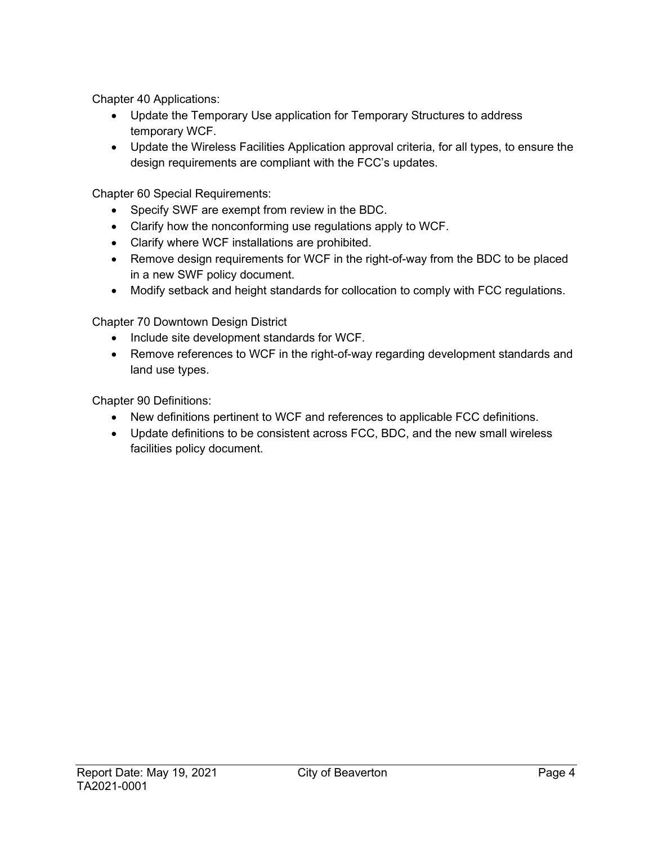Chapter 40 Applications:

- Update the Temporary Use application for Temporary Structures to address temporary WCF.
- Update the Wireless Facilities Application approval criteria, for all types, to ensure the design requirements are compliant with the FCC's updates.

Chapter 60 Special Requirements:

- Specify SWF are exempt from review in the BDC.
- Clarify how the nonconforming use regulations apply to WCF.
- Clarify where WCF installations are prohibited.
- Remove design requirements for WCF in the right-of-way from the BDC to be placed in a new SWF policy document.
- Modify setback and height standards for collocation to comply with FCC regulations.

Chapter 70 Downtown Design District

- Include site development standards for WCF.
- Remove references to WCF in the right-of-way regarding development standards and land use types.

Chapter 90 Definitions:

- New definitions pertinent to WCF and references to applicable FCC definitions.
- Update definitions to be consistent across FCC, BDC, and the new small wireless facilities policy document.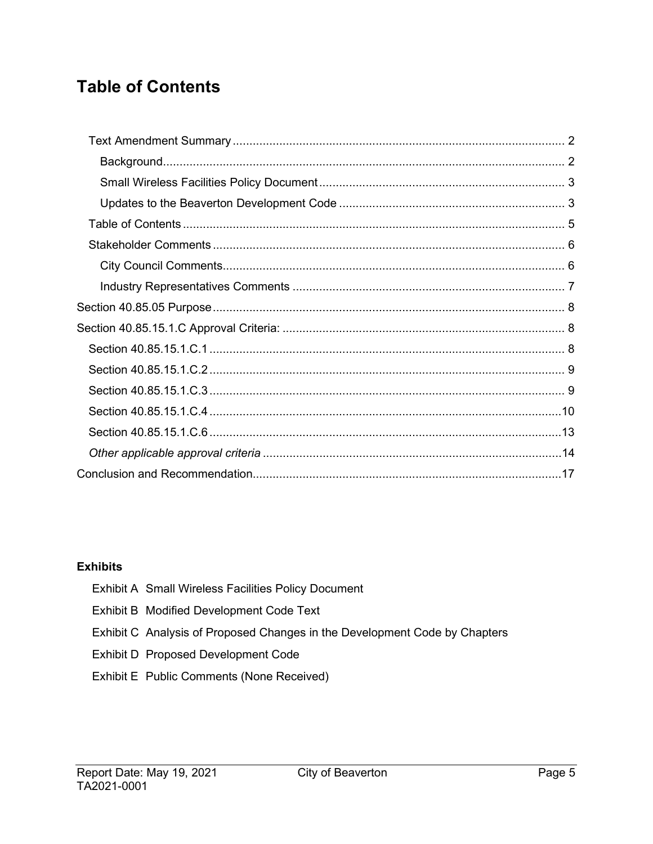## **Table of Contents**

#### **Exhibits**

| <b>Exhibit A Small Wireless Facilities Policy Document</b>                 |
|----------------------------------------------------------------------------|
| Exhibit B Modified Development Code Text                                   |
| Exhibit C Analysis of Proposed Changes in the Development Code by Chapters |
| Exhibit D Proposed Development Code                                        |
| Exhibit E Public Comments (None Received)                                  |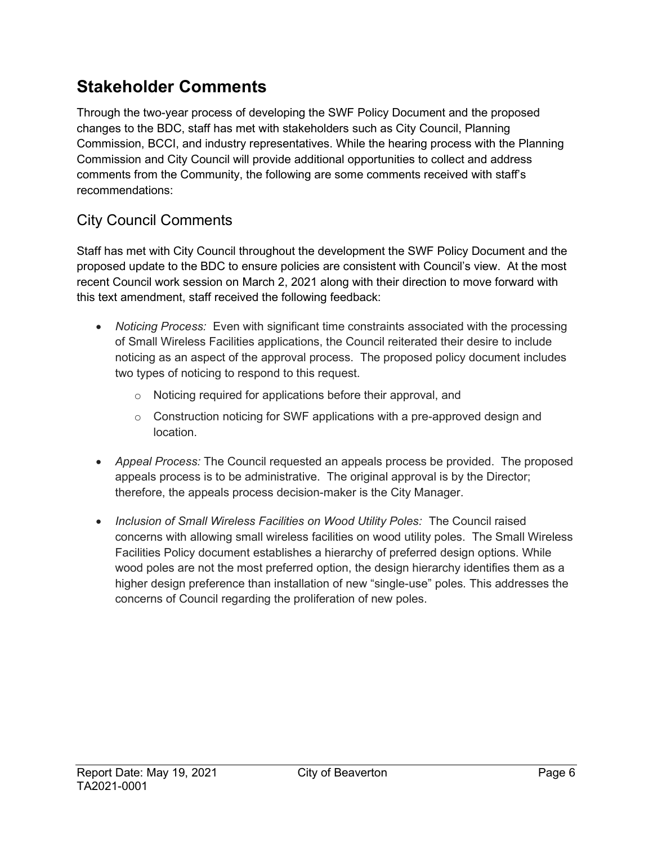## Stakeholder Comments

Through the two-year process of developing the SWF Policy Document and the proposed changes to the BDC, staff has met with stakeholders such as City Council, Planning Commission, BCCI, and industry representatives. While the hearing process with the Planning Commission and City Council will provide additional opportunities to collect and address comments from the Community, the following are some comments received with staff's recommendations:

### City Council Comments

Staff has met with City Council throughout the development the SWF Policy Document and the proposed update to the BDC to ensure policies are consistent with Council's view. At the most recent Council work session on March 2, 2021 along with their direction to move forward with this text amendment, staff received the following feedback:

- Noticing Process: Even with significant time constraints associated with the processing of Small Wireless Facilities applications, the Council reiterated their desire to include noticing as an aspect of the approval process. The proposed policy document includes two types of noticing to respond to this request.
	- o Noticing required for applications before their approval, and
	- $\circ$  Construction noticing for SWF applications with a pre-approved design and location.
- Appeal Process: The Council requested an appeals process be provided. The proposed appeals process is to be administrative. The original approval is by the Director; therefore, the appeals process decision-maker is the City Manager.
- Inclusion of Small Wireless Facilities on Wood Utility Poles: The Council raised concerns with allowing small wireless facilities on wood utility poles. The Small Wireless Facilities Policy document establishes a hierarchy of preferred design options. While wood poles are not the most preferred option, the design hierarchy identifies them as a higher design preference than installation of new "single-use" poles. This addresses the concerns of Council regarding the proliferation of new poles.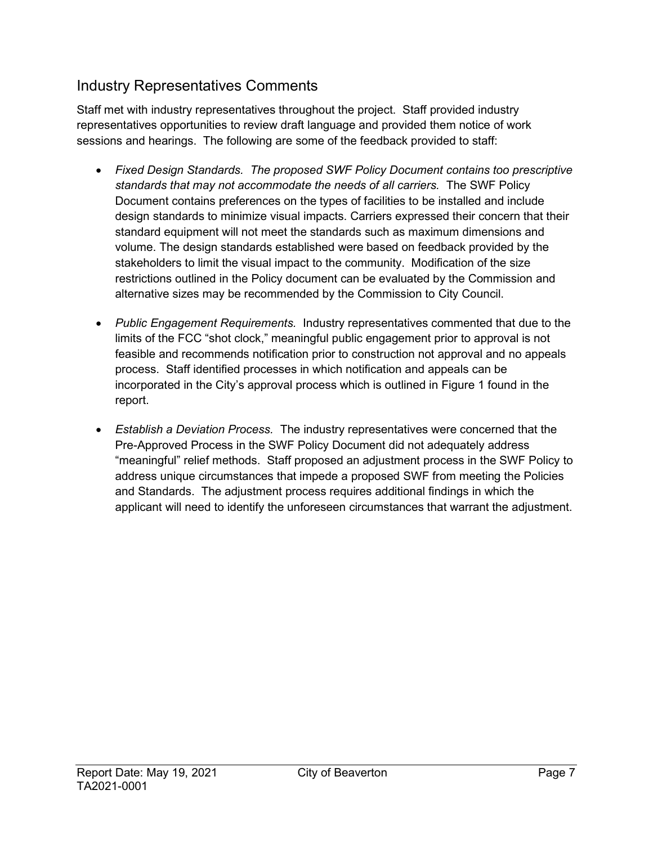### Industry Representatives Comments

Staff met with industry representatives throughout the project. Staff provided industry representatives opportunities to review draft language and provided them notice of work sessions and hearings. The following are some of the feedback provided to staff:

- Fixed Design Standards. The proposed SWF Policy Document contains too prescriptive standards that may not accommodate the needs of all carriers. The SWF Policy Document contains preferences on the types of facilities to be installed and include design standards to minimize visual impacts. Carriers expressed their concern that their standard equipment will not meet the standards such as maximum dimensions and volume. The design standards established were based on feedback provided by the stakeholders to limit the visual impact to the community. Modification of the size restrictions outlined in the Policy document can be evaluated by the Commission and alternative sizes may be recommended by the Commission to City Council.
- Public Engagement Requirements. Industry representatives commented that due to the limits of the FCC "shot clock," meaningful public engagement prior to approval is not feasible and recommends notification prior to construction not approval and no appeals process. Staff identified processes in which notification and appeals can be incorporated in the City's approval process which is outlined in Figure 1 found in the report.
- Establish a Deviation Process. The industry representatives were concerned that the Pre-Approved Process in the SWF Policy Document did not adequately address "meaningful" relief methods. Staff proposed an adjustment process in the SWF Policy to address unique circumstances that impede a proposed SWF from meeting the Policies and Standards. The adjustment process requires additional findings in which the applicant will need to identify the unforeseen circumstances that warrant the adjustment.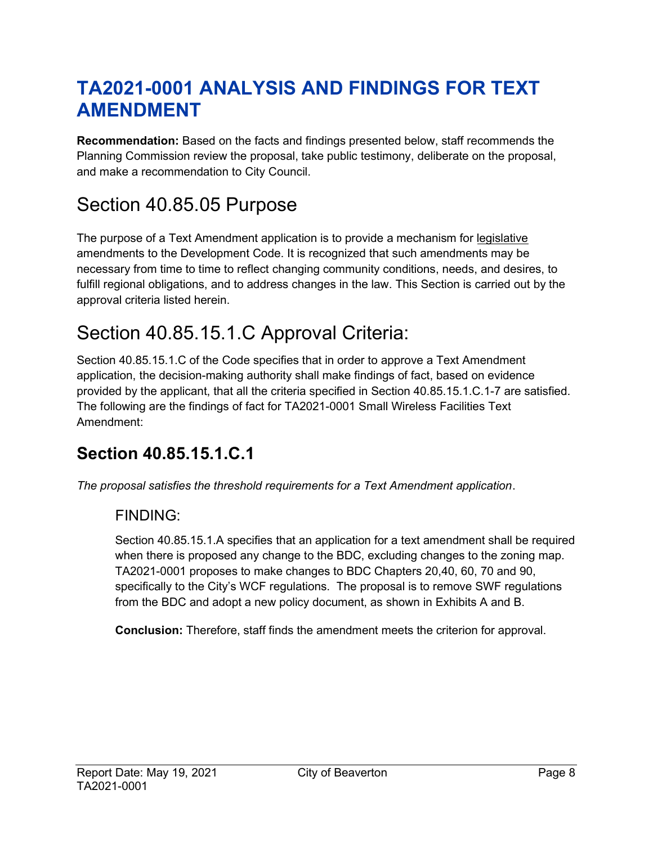# TA2021-0001 ANALYSIS AND FINDINGS FOR TEXT AMENDMENT

Recommendation: Based on the facts and findings presented below, staff recommends the Planning Commission review the proposal, take public testimony, deliberate on the proposal, and make a recommendation to City Council.

## Section 40.85.05 Purpose

The purpose of a Text Amendment application is to provide a mechanism for legislative amendments to the Development Code. It is recognized that such amendments may be necessary from time to time to reflect changing community conditions, needs, and desires, to fulfill regional obligations, and to address changes in the law. This Section is carried out by the approval criteria listed herein.

## Section 40.85.15.1.C Approval Criteria:

Section 40.85.15.1.C of the Code specifies that in order to approve a Text Amendment application, the decision-making authority shall make findings of fact, based on evidence provided by the applicant, that all the criteria specified in Section 40.85.15.1.C.1-7 are satisfied. The following are the findings of fact for TA2021-0001 Small Wireless Facilities Text Amendment:

## Section 40.85.15.1.C.1

The proposal satisfies the threshold requirements for a Text Amendment application.

### FINDING:

Section 40.85.15.1.A specifies that an application for a text amendment shall be required when there is proposed any change to the BDC, excluding changes to the zoning map. TA2021-0001 proposes to make changes to BDC Chapters 20,40, 60, 70 and 90, specifically to the City's WCF regulations. The proposal is to remove SWF regulations from the BDC and adopt a new policy document, as shown in Exhibits A and B.

Conclusion: Therefore, staff finds the amendment meets the criterion for approval.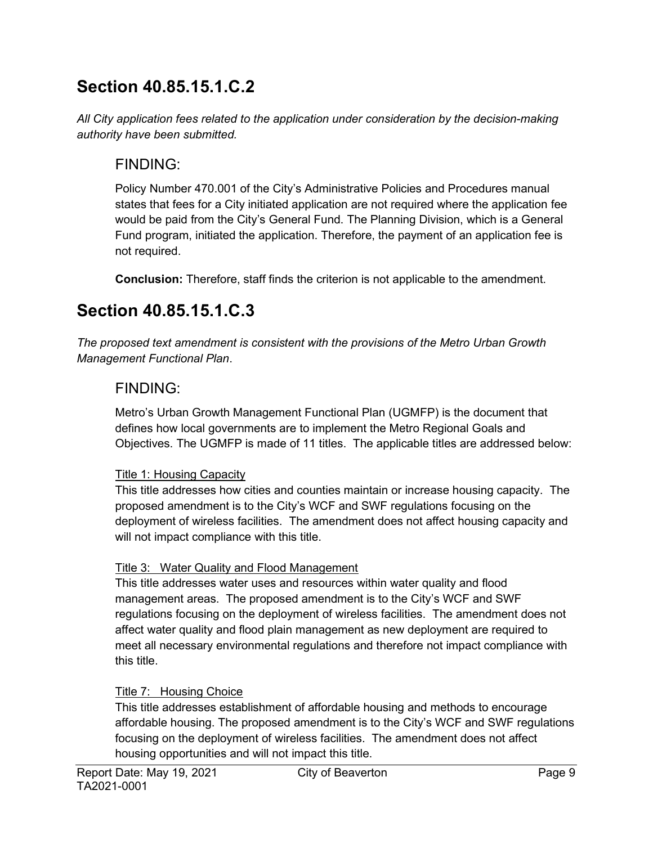## Section 40.85.15.1.C.2

All City application fees related to the application under consideration by the decision-making authority have been submitted.

### FINDING:

Policy Number 470.001 of the City's Administrative Policies and Procedures manual states that fees for a City initiated application are not required where the application fee would be paid from the City's General Fund. The Planning Division, which is a General Fund program, initiated the application. Therefore, the payment of an application fee is not required.

Conclusion: Therefore, staff finds the criterion is not applicable to the amendment.

## Section 40.85.15.1.C.3

The proposed text amendment is consistent with the provisions of the Metro Urban Growth Management Functional Plan.

### FINDING:

Metro's Urban Growth Management Functional Plan (UGMFP) is the document that defines how local governments are to implement the Metro Regional Goals and Objectives. The UGMFP is made of 11 titles. The applicable titles are addressed below:

#### Title 1: Housing Capacity

This title addresses how cities and counties maintain or increase housing capacity. The proposed amendment is to the City's WCF and SWF regulations focusing on the deployment of wireless facilities. The amendment does not affect housing capacity and will not impact compliance with this title.

#### Title 3: Water Quality and Flood Management

This title addresses water uses and resources within water quality and flood management areas. The proposed amendment is to the City's WCF and SWF regulations focusing on the deployment of wireless facilities. The amendment does not affect water quality and flood plain management as new deployment are required to meet all necessary environmental regulations and therefore not impact compliance with this title.

#### Title 7: Housing Choice

This title addresses establishment of affordable housing and methods to encourage affordable housing. The proposed amendment is to the City's WCF and SWF regulations focusing on the deployment of wireless facilities. The amendment does not affect housing opportunities and will not impact this title.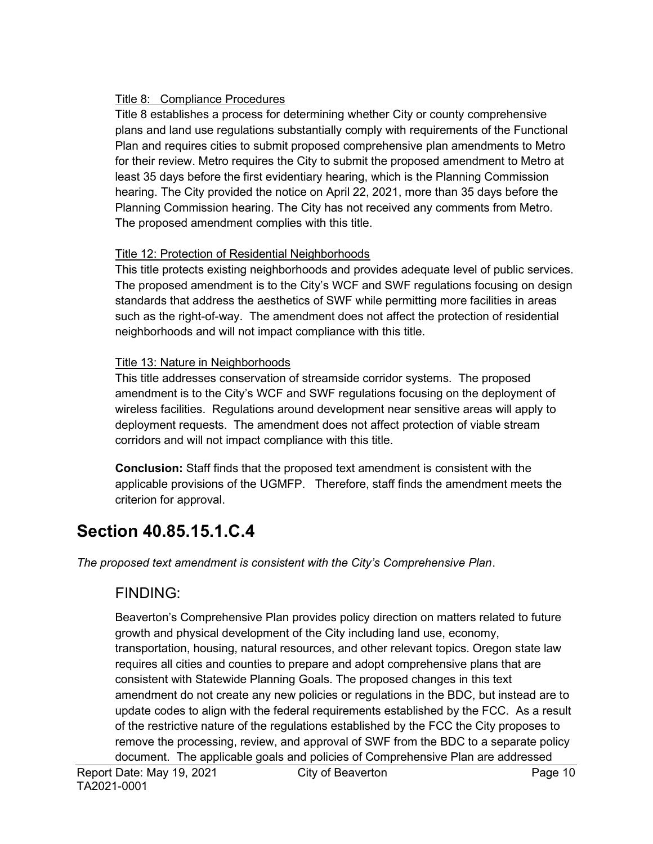#### Title 8: Compliance Procedures

Title 8 establishes a process for determining whether City or county comprehensive plans and land use regulations substantially comply with requirements of the Functional Plan and requires cities to submit proposed comprehensive plan amendments to Metro for their review. Metro requires the City to submit the proposed amendment to Metro at least 35 days before the first evidentiary hearing, which is the Planning Commission hearing. The City provided the notice on April 22, 2021, more than 35 days before the Planning Commission hearing. The City has not received any comments from Metro. The proposed amendment complies with this title.

#### Title 12: Protection of Residential Neighborhoods

This title protects existing neighborhoods and provides adequate level of public services. The proposed amendment is to the City's WCF and SWF regulations focusing on design standards that address the aesthetics of SWF while permitting more facilities in areas such as the right-of-way. The amendment does not affect the protection of residential neighborhoods and will not impact compliance with this title.

#### Title 13: Nature in Neighborhoods

This title addresses conservation of streamside corridor systems. The proposed amendment is to the City's WCF and SWF regulations focusing on the deployment of wireless facilities. Regulations around development near sensitive areas will apply to deployment requests. The amendment does not affect protection of viable stream corridors and will not impact compliance with this title.

Conclusion: Staff finds that the proposed text amendment is consistent with the applicable provisions of the UGMFP. Therefore, staff finds the amendment meets the criterion for approval.

## Section 40.85.15.1.C.4

The proposed text amendment is consistent with the City's Comprehensive Plan.

### FINDING:

Beaverton's Comprehensive Plan provides policy direction on matters related to future growth and physical development of the City including land use, economy, transportation, housing, natural resources, and other relevant topics. Oregon state law requires all cities and counties to prepare and adopt comprehensive plans that are consistent with Statewide Planning Goals. The proposed changes in this text amendment do not create any new policies or regulations in the BDC, but instead are to update codes to align with the federal requirements established by the FCC. As a result of the restrictive nature of the regulations established by the FCC the City proposes to remove the processing, review, and approval of SWF from the BDC to a separate policy document. The applicable goals and policies of Comprehensive Plan are addressed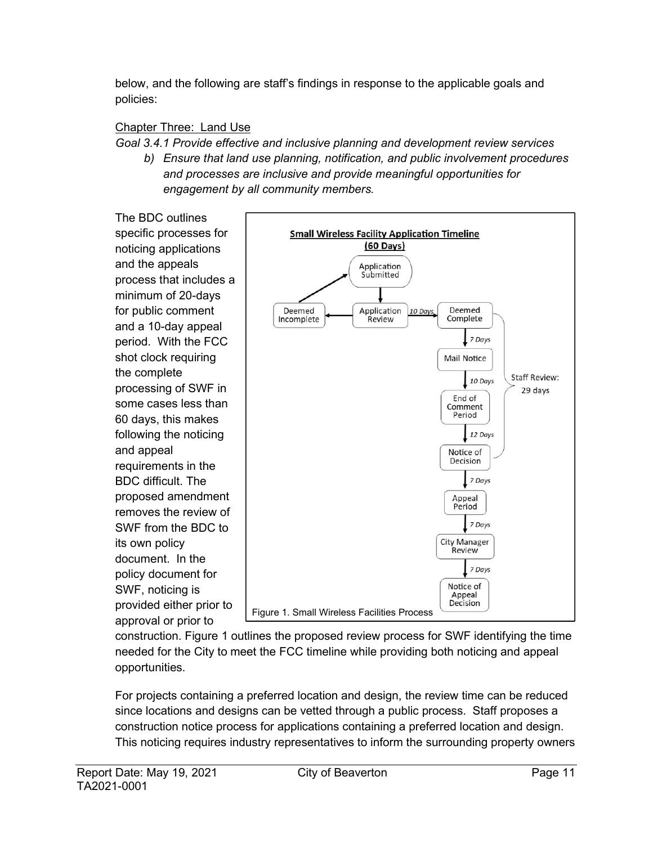below, and the following are staff's findings in response to the applicable goals and policies:

#### Chapter Three: Land Use

#### Goal 3.4.1 Provide effective and inclusive planning and development review services

b) Ensure that land use planning, notification, and public involvement procedures and processes are inclusive and provide meaningful opportunities for engagement by all community members.

The BDC outlines specific processes for noticing applications and the appeals process that includes a minimum of 20-days for public comment and a 10-day appeal period. With the FCC shot clock requiring the complete processing of SWF in some cases less than 60 days, this makes following the noticing and appeal requirements in the BDC difficult. The proposed amendment removes the review of SWF from the BDC to its own policy document. In the policy document for SWF, noticing is provided either prior to approval or prior to



construction. Figure 1 outlines the proposed review process for SWF identifying the time needed for the City to meet the FCC timeline while providing both noticing and appeal opportunities.

For projects containing a preferred location and design, the review time can be reduced since locations and designs can be vetted through a public process. Staff proposes a construction notice process for applications containing a preferred location and design. This noticing requires industry representatives to inform the surrounding property owners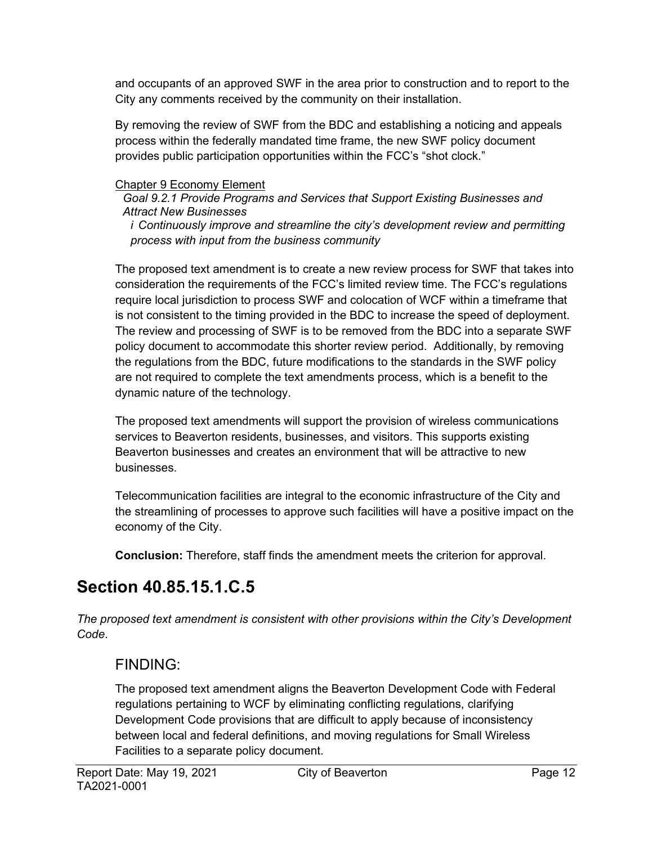and occupants of an approved SWF in the area prior to construction and to report to the City any comments received by the community on their installation.

By removing the review of SWF from the BDC and establishing a noticing and appeals process within the federally mandated time frame, the new SWF policy document provides public participation opportunities within the FCC's "shot clock."

#### Chapter 9 Economy Element

Goal 9.2.1 Provide Programs and Services that Support Existing Businesses and Attract New Businesses

i Continuously improve and streamline the city's development review and permitting process with input from the business community

The proposed text amendment is to create a new review process for SWF that takes into consideration the requirements of the FCC's limited review time. The FCC's regulations require local jurisdiction to process SWF and colocation of WCF within a timeframe that is not consistent to the timing provided in the BDC to increase the speed of deployment. The review and processing of SWF is to be removed from the BDC into a separate SWF policy document to accommodate this shorter review period. Additionally, by removing the regulations from the BDC, future modifications to the standards in the SWF policy are not required to complete the text amendments process, which is a benefit to the dynamic nature of the technology.

The proposed text amendments will support the provision of wireless communications services to Beaverton residents, businesses, and visitors. This supports existing Beaverton businesses and creates an environment that will be attractive to new businesses.

Telecommunication facilities are integral to the economic infrastructure of the City and the streamlining of processes to approve such facilities will have a positive impact on the economy of the City.

Conclusion: Therefore, staff finds the amendment meets the criterion for approval.

## Section 40.85.15.1.C.5

The proposed text amendment is consistent with other provisions within the City's Development Code.

### FINDING:

The proposed text amendment aligns the Beaverton Development Code with Federal regulations pertaining to WCF by eliminating conflicting regulations, clarifying Development Code provisions that are difficult to apply because of inconsistency between local and federal definitions, and moving regulations for Small Wireless Facilities to a separate policy document.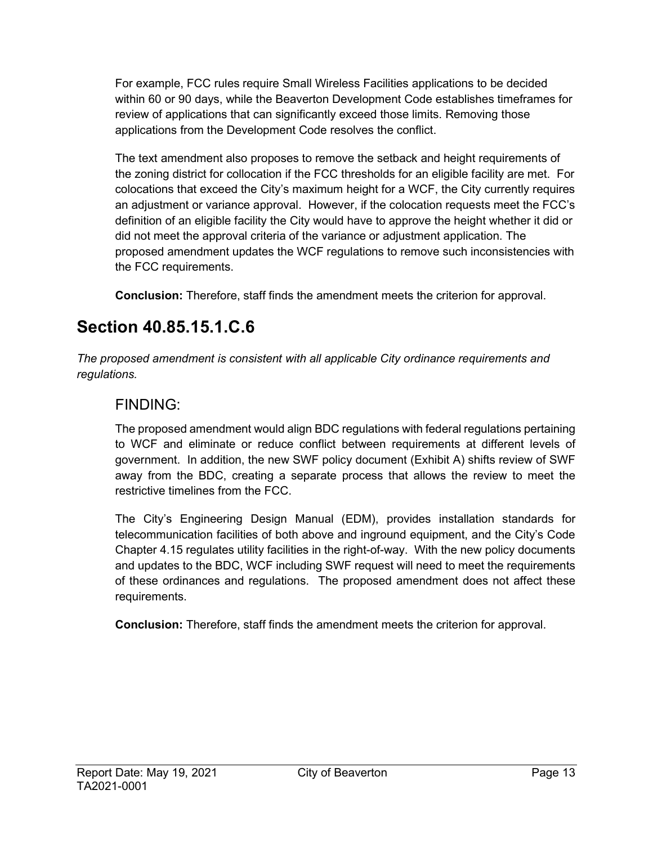For example, FCC rules require Small Wireless Facilities applications to be decided within 60 or 90 days, while the Beaverton Development Code establishes timeframes for review of applications that can significantly exceed those limits. Removing those applications from the Development Code resolves the conflict.

The text amendment also proposes to remove the setback and height requirements of the zoning district for collocation if the FCC thresholds for an eligible facility are met. For colocations that exceed the City's maximum height for a WCF, the City currently requires an adjustment or variance approval. However, if the colocation requests meet the FCC's definition of an eligible facility the City would have to approve the height whether it did or did not meet the approval criteria of the variance or adjustment application. The proposed amendment updates the WCF regulations to remove such inconsistencies with the FCC requirements.

Conclusion: Therefore, staff finds the amendment meets the criterion for approval.

## Section 40.85.15.1.C.6

The proposed amendment is consistent with all applicable City ordinance requirements and regulations.

### FINDING:

The proposed amendment would align BDC regulations with federal regulations pertaining to WCF and eliminate or reduce conflict between requirements at different levels of government. In addition, the new SWF policy document (Exhibit A) shifts review of SWF away from the BDC, creating a separate process that allows the review to meet the restrictive timelines from the FCC.

The City's Engineering Design Manual (EDM), provides installation standards for telecommunication facilities of both above and inground equipment, and the City's Code Chapter 4.15 regulates utility facilities in the right-of-way. With the new policy documents and updates to the BDC, WCF including SWF request will need to meet the requirements of these ordinances and regulations. The proposed amendment does not affect these requirements.

Conclusion: Therefore, staff finds the amendment meets the criterion for approval.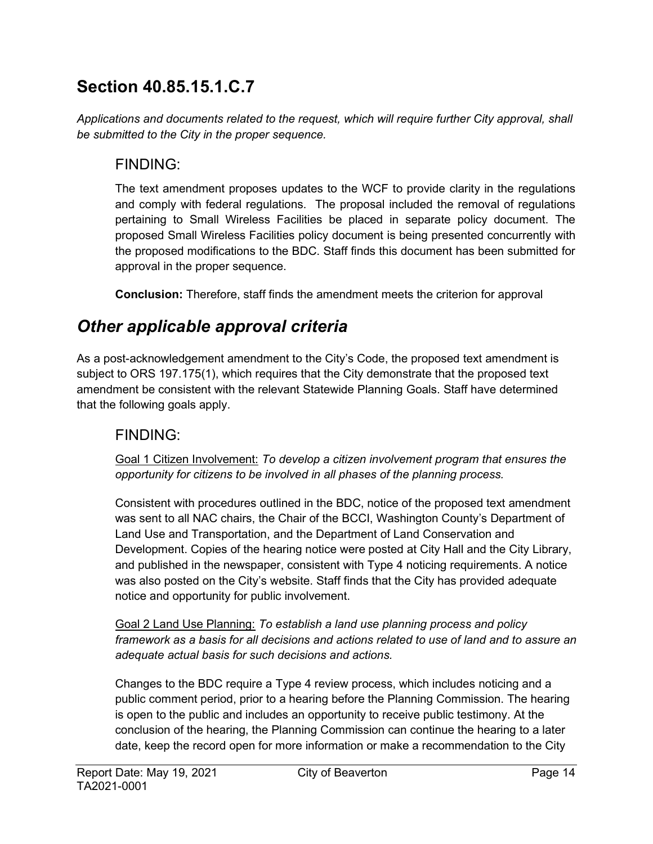## Section 40.85.15.1.C.7

Applications and documents related to the request, which will require further City approval, shall be submitted to the City in the proper sequence.

### FINDING:

The text amendment proposes updates to the WCF to provide clarity in the regulations and comply with federal regulations. The proposal included the removal of regulations pertaining to Small Wireless Facilities be placed in separate policy document. The proposed Small Wireless Facilities policy document is being presented concurrently with the proposed modifications to the BDC. Staff finds this document has been submitted for approval in the proper sequence.

Conclusion: Therefore, staff finds the amendment meets the criterion for approval

## Other applicable approval criteria

As a post-acknowledgement amendment to the City's Code, the proposed text amendment is subject to ORS 197.175(1), which requires that the City demonstrate that the proposed text amendment be consistent with the relevant Statewide Planning Goals. Staff have determined that the following goals apply.

### FINDING:

Goal 1 Citizen Involvement: To develop a citizen involvement program that ensures the opportunity for citizens to be involved in all phases of the planning process.

Consistent with procedures outlined in the BDC, notice of the proposed text amendment was sent to all NAC chairs, the Chair of the BCCI, Washington County's Department of Land Use and Transportation, and the Department of Land Conservation and Development. Copies of the hearing notice were posted at City Hall and the City Library, and published in the newspaper, consistent with Type 4 noticing requirements. A notice was also posted on the City's website. Staff finds that the City has provided adequate notice and opportunity for public involvement.

Goal 2 Land Use Planning: To establish a land use planning process and policy framework as a basis for all decisions and actions related to use of land and to assure an adequate actual basis for such decisions and actions.

Changes to the BDC require a Type 4 review process, which includes noticing and a public comment period, prior to a hearing before the Planning Commission. The hearing is open to the public and includes an opportunity to receive public testimony. At the conclusion of the hearing, the Planning Commission can continue the hearing to a later date, keep the record open for more information or make a recommendation to the City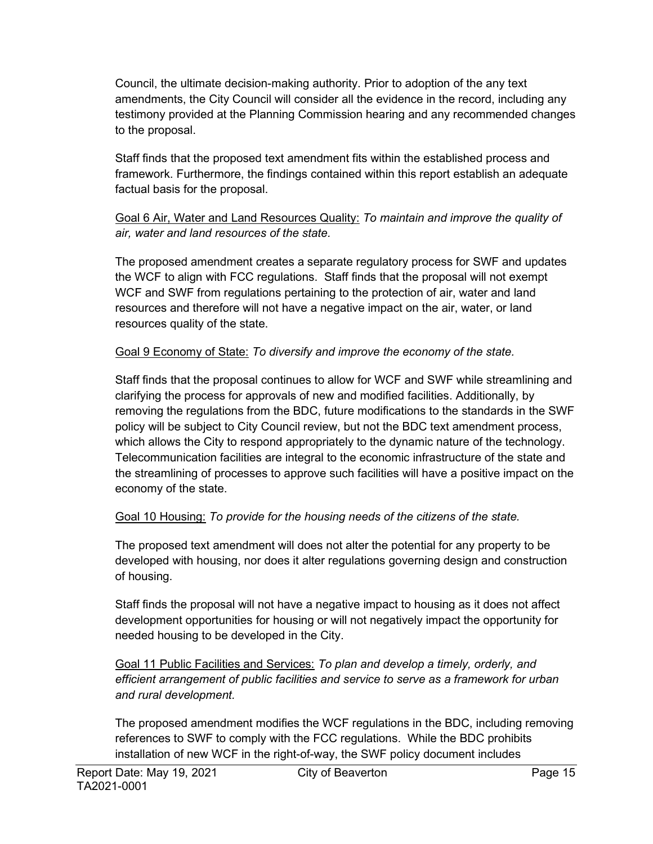Council, the ultimate decision-making authority. Prior to adoption of the any text amendments, the City Council will consider all the evidence in the record, including any testimony provided at the Planning Commission hearing and any recommended changes to the proposal.

Staff finds that the proposed text amendment fits within the established process and framework. Furthermore, the findings contained within this report establish an adequate factual basis for the proposal.

#### Goal 6 Air, Water and Land Resources Quality: To maintain and improve the quality of air, water and land resources of the state.

The proposed amendment creates a separate regulatory process for SWF and updates the WCF to align with FCC regulations. Staff finds that the proposal will not exempt WCF and SWF from regulations pertaining to the protection of air, water and land resources and therefore will not have a negative impact on the air, water, or land resources quality of the state.

#### Goal 9 Economy of State: To diversify and improve the economy of the state.

Staff finds that the proposal continues to allow for WCF and SWF while streamlining and clarifying the process for approvals of new and modified facilities. Additionally, by removing the regulations from the BDC, future modifications to the standards in the SWF policy will be subject to City Council review, but not the BDC text amendment process, which allows the City to respond appropriately to the dynamic nature of the technology. Telecommunication facilities are integral to the economic infrastructure of the state and the streamlining of processes to approve such facilities will have a positive impact on the economy of the state.

#### Goal 10 Housing: To provide for the housing needs of the citizens of the state.

The proposed text amendment will does not alter the potential for any property to be developed with housing, nor does it alter regulations governing design and construction of housing.

Staff finds the proposal will not have a negative impact to housing as it does not affect development opportunities for housing or will not negatively impact the opportunity for needed housing to be developed in the City.

Goal 11 Public Facilities and Services: To plan and develop a timely, orderly, and efficient arrangement of public facilities and service to serve as a framework for urban and rural development.

The proposed amendment modifies the WCF regulations in the BDC, including removing references to SWF to comply with the FCC regulations. While the BDC prohibits installation of new WCF in the right-of-way, the SWF policy document includes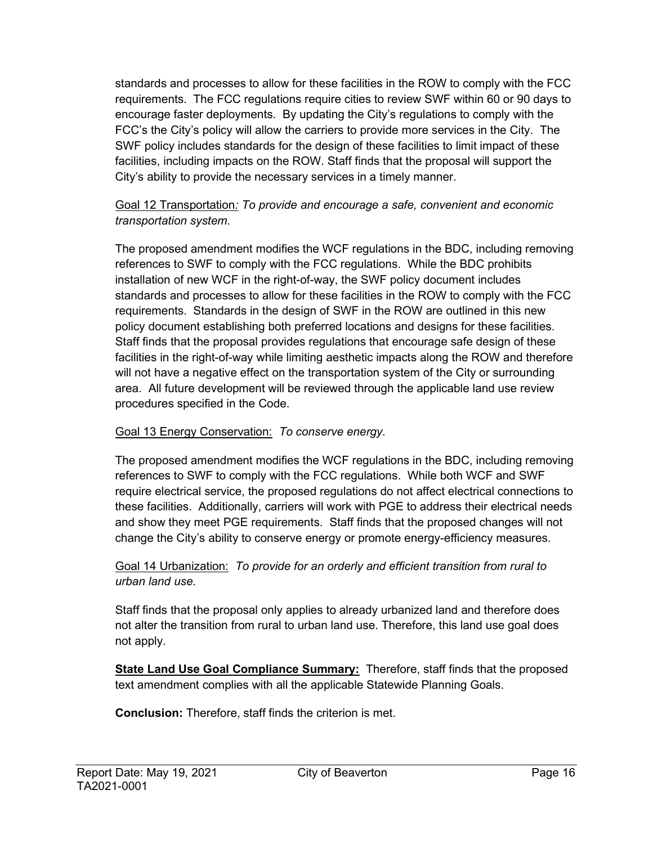standards and processes to allow for these facilities in the ROW to comply with the FCC requirements. The FCC regulations require cities to review SWF within 60 or 90 days to encourage faster deployments. By updating the City's regulations to comply with the FCC's the City's policy will allow the carriers to provide more services in the City. The SWF policy includes standards for the design of these facilities to limit impact of these facilities, including impacts on the ROW. Staff finds that the proposal will support the City's ability to provide the necessary services in a timely manner.

#### Goal 12 Transportation: To provide and encourage a safe, convenient and economic transportation system.

The proposed amendment modifies the WCF regulations in the BDC, including removing references to SWF to comply with the FCC regulations. While the BDC prohibits installation of new WCF in the right-of-way, the SWF policy document includes standards and processes to allow for these facilities in the ROW to comply with the FCC requirements. Standards in the design of SWF in the ROW are outlined in this new policy document establishing both preferred locations and designs for these facilities. Staff finds that the proposal provides regulations that encourage safe design of these facilities in the right-of-way while limiting aesthetic impacts along the ROW and therefore will not have a negative effect on the transportation system of the City or surrounding area. All future development will be reviewed through the applicable land use review procedures specified in the Code.

#### Goal 13 Energy Conservation: To conserve energy.

The proposed amendment modifies the WCF regulations in the BDC, including removing references to SWF to comply with the FCC regulations. While both WCF and SWF require electrical service, the proposed regulations do not affect electrical connections to these facilities. Additionally, carriers will work with PGE to address their electrical needs and show they meet PGE requirements. Staff finds that the proposed changes will not change the City's ability to conserve energy or promote energy-efficiency measures.

#### Goal 14 Urbanization: To provide for an orderly and efficient transition from rural to urban land use.

Staff finds that the proposal only applies to already urbanized land and therefore does not alter the transition from rural to urban land use. Therefore, this land use goal does not apply.

State Land Use Goal Compliance Summary: Therefore, staff finds that the proposed text amendment complies with all the applicable Statewide Planning Goals.

Conclusion: Therefore, staff finds the criterion is met.